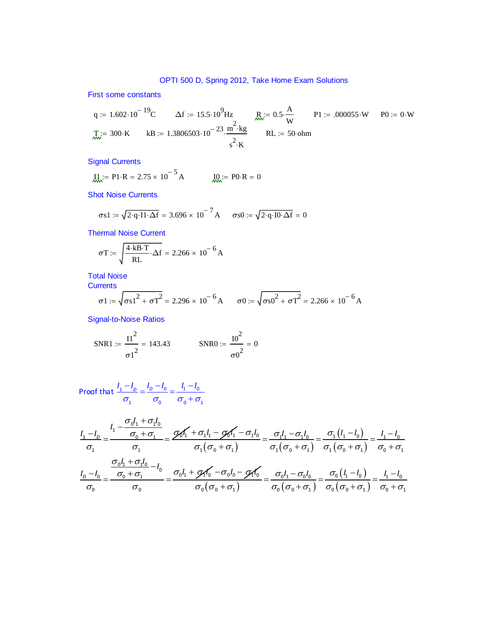First some constants

q := 
$$
1.602 \cdot 10^{-19}
$$
C  $\Delta f$  :=  $15.5 \cdot 10^{9}$  Hz  $\frac{R}{w} = 0.5 \cdot \frac{A}{w}$  P1 := .000055·W P0 := 0·W  
\n $\pi_w = 300 \cdot K$  kB :=  $1.3806503 \cdot 10^{-23} \cdot \frac{m^2 \cdot kg}{s^2 \cdot K}$  RL = 50·ohm

Signal Currents

$$
\underline{\mathbf{I}}\underline{\mathbf{I}} = P1 \cdot R = 2.75 \times 10^{-5} A \qquad \qquad \underline{\mathbf{I}}\underline{\mathbf{Q}} = P0 \cdot R = 0
$$

Shot Noise Currents

$$
\sigma s1 := \sqrt{2 \cdot q \cdot 11 \cdot \Delta f} = 3.696 \times 10^{-7} A \qquad \sigma s0 := \sqrt{2 \cdot q \cdot 10 \cdot \Delta f} = 0
$$

Thermal Noise Current

$$
\sigma T := \sqrt{\frac{4 \cdot kB \cdot T}{RL} \cdot \Delta f} = 2.266 \times 10^{-6} A
$$

Total Noise

**Currents** 

$$
\sigma1 := \sqrt{\sigma s1^{2} + \sigma T^{2}} = 2.296 \times 10^{-6} A \qquad \sigma0 := \sqrt{\sigma s0^{2} + \sigma T^{2}} = 2.266 \times 10^{-6} A
$$

Signal-to-Noise Ratios

SNR1 := 
$$
\frac{11^2}{\sigma 1^2}
$$
 = 143.43 SNR0 :=  $\frac{10^2}{\sigma 0^2}$  = 0

Proof that 
$$
\frac{l_1 - l_0}{\sigma_1} = \frac{l_0 - l_0}{\sigma_0} = \frac{l_1 - l_0}{\sigma_0 + \sigma_1}
$$

$$
\frac{I_1 - I_0}{\sigma_1} = \frac{\frac{I_1 - \frac{\sigma_0 I_1 + \sigma_1 I_0}{\sigma_0 + \sigma_1}}{\sigma_1}}{\sigma_1} = \frac{\mathcal{D}_0 I_1 + \sigma_1 I_1 - \mathcal{D}_0 I_1 - \sigma_1 I_0}{\sigma_1 (\sigma_0 + \sigma_1)} = \frac{\sigma_1 I_1 - \sigma_1 I_0}{\sigma_1 (\sigma_0 + \sigma_1)} = \frac{\sigma_1 (I_1 - I_0)}{\sigma_1 (\sigma_0 + \sigma_1)} = \frac{I_1 - I_0}{\sigma_0 + \sigma_1}
$$
\n
$$
\frac{I_0 - I_0}{\sigma_0 + \sigma_1} = \frac{\sigma_0 I_1 + \sigma_1 I_0}{\sigma_0 + \sigma_1} - I_0 = \frac{\sigma_0 I_1 + \mathcal{D}_1 I_0 - \sigma_0 I_0}{\sigma_0 + \sigma_0} = \frac{\sigma_0 I_1 - \sigma_0 I_0}{\sigma_0 + \sigma_0} = \frac{\sigma_0 (I_1 - I_0)}{\sigma_0} = \frac{I_1 - I_0}{\sigma_0 + \sigma_0}
$$

$$
\frac{I_{D}-I_{0}}{\sigma_{0}} = \frac{\sigma_{0} + \sigma_{1}}{\sigma_{0}} = \frac{\sigma_{0}I_{1} + \mathscr{A}_{10} - \sigma_{0}I_{0} - \mathscr{A}_{10}I_{0}}{\sigma_{0}(\sigma_{0} + \sigma_{1})} = \frac{\sigma_{0}I_{1} - \sigma_{0}I_{0}}{\sigma_{0}(\sigma_{0} + \sigma_{1})} = \frac{\sigma_{0}(I_{1} - I_{0})}{\sigma_{0}(\sigma_{0} + \sigma_{1})} = \frac{I_{1} - I_{0}}{\sigma_{0} + \sigma_{1}}
$$